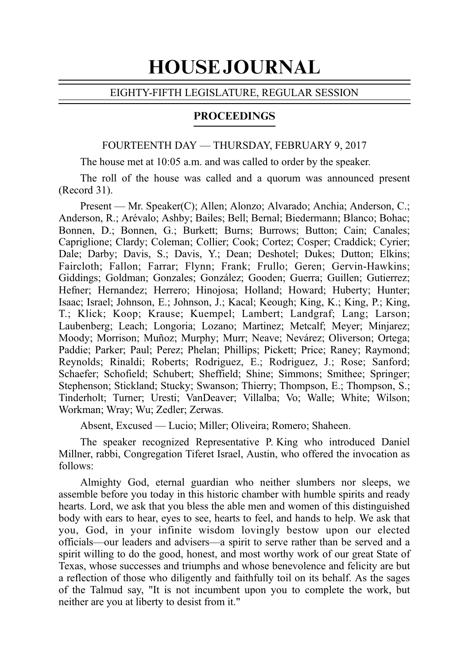# HOUSE JOURNAL

#### EIGHTY-FIFTH LEGISLATURE, REGULAR SESSION

#### PROCEEDINGS

# FOURTEENTH DAY — THURSDAY, FEBRUARY 9, 2017

The house met at 10:05 a.m. and was called to order by the speaker.

The roll of the house was called and a quorum was announced present  $(Record 31)$ .

Present — Mr. Speaker(C); Allen; Alonzo; Alvarado; Anchia; Anderson, C.; Anderson, R.; Arévalo; Ashby; Bailes; Bell; Bernal; Biedermann; Blanco; Bohac; Bonnen, D.; Bonnen, G.; Burkett; Burns; Burrows; Button; Cain; Canales; Capriglione; Clardy; Coleman; Collier; Cook; Cortez; Cosper; Craddick; Cyrier; Dale; Darby; Davis, S.; Davis, Y.; Dean; Deshotel; Dukes; Dutton; Elkins; Faircloth; Fallon; Farrar; Flynn; Frank; Frullo; Geren; Gervin-Hawkins; Giddings; Goldman; Gonzales; González; Gooden; Guerra; Guillen; Gutierrez; Hefner; Hernandez; Herrero; Hinojosa; Holland; Howard; Huberty; Hunter; Isaac; Israel; Johnson, E.; Johnson, J.; Kacal; Keough; King, K.; King, P.; King, T.; Klick; Koop; Krause; Kuempel; Lambert; Landgraf; Lang; Larson; Laubenberg; Leach; Longoria; Lozano; Martinez; Metcalf; Meyer; Minjarez; Moody; Morrison; Muñoz; Murphy; Murr; Neave; Nevárez; Oliverson; Ortega; Paddie; Parker; Paul; Perez; Phelan; Phillips; Pickett; Price; Raney; Raymond; Reynolds; Rinaldi; Roberts; Rodriguez, E.; Rodriguez, J.; Rose; Sanford; Schaefer; Schofield; Schubert; Sheffield; Shine; Simmons; Smithee; Springer; Stephenson; Stickland; Stucky; Swanson; Thierry; Thompson, E.; Thompson, S.; Tinderholt; Turner; Uresti; VanDeaver; Villalba; Vo; Walle; White; Wilson; Workman; Wray; Wu; Zedler; Zerwas.

Absent, Excused — Lucio; Miller; Oliveira; Romero; Shaheen.

The speaker recognized Representative P. King who introduced Daniel Millner, rabbi, Congregation Tiferet Israel, Austin, who offered the invocation as follows:

Almighty God, eternal guardian who neither slumbers nor sleeps, we assemble before you today in this historic chamber with humble spirits and ready hearts. Lord, we ask that you bless the able men and women of this distinguished body with ears to hear, eyes to see, hearts to feel, and hands to help. We ask that you, God, in your infinite wisdom lovingly bestow upon our elected officials––our leaders and advisers––a spirit to serve rather than be served and a spirit willing to do the good, honest, and most worthy work of our great State of Texas, whose successes and triumphs and whose benevolence and felicity are but a reflection of those who diligently and faithfully toil on its behalf. As the sages of the Talmud say, "It is not incumbent upon you to complete the work, but neither are you at liberty to desist from it."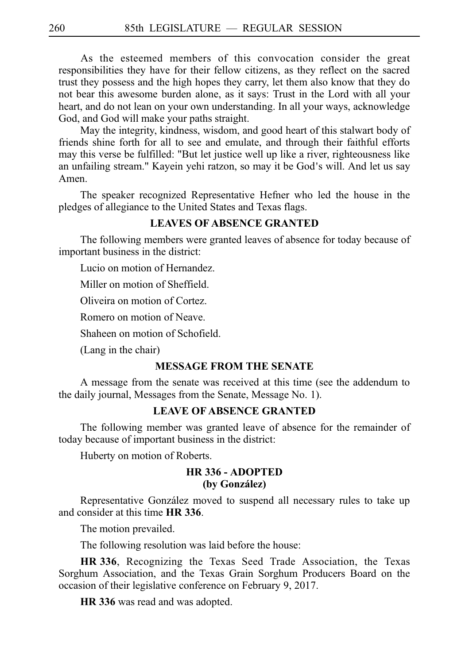As the esteemed members of this convocation consider the great responsibilities they have for their fellow citizens, as they reflect on the sacred trust they possess and the high hopes they carry, let them also know that they do not bear this awesome burden alone, as it says: Trust in the Lord with all your heart, and do not lean on your own understanding. In all your ways, acknowledge God, and God will make your paths straight.

May the integrity, kindness, wisdom, and good heart of this stalwart body of friends shine forth for all to see and emulate, and through their faithful efforts may this verse be fulfilled: "But let justice well up like a river, righteousness like an unfailing stream." Kayein yehi ratzon, so may it be God's will. And let us say Amen.

The speaker recognized Representative Hefner who led the house in the pledges of allegiance to the United States and Texas flags.

#### **LEAVES OF ABSENCE GRANTED**

The following members were granted leaves of absence for today because of important business in the district:

Lucio on motion of Hernandez.

Miller on motion of Sheffield.

Oliveira on motion of Cortez.

Romero on motion of Neave.

Shaheen on motion of Schofield.

(Lang in the chair)

#### **MESSAGE FROM THE SENATE**

A message from the senate was received at this time (see the addendum to the daily journal, Messages from the Senate, Message No. 1).

# **LEAVE OF ABSENCE GRANTED**

The following member was granted leave of absence for the remainder of today because of important business in the district:

Huberty on motion of Roberts.

#### **HRi336 - ADOPTED (by Gonza´lez)**

Representative González moved to suspend all necessary rules to take up and consider at this time **HR 336**.

The motion prevailed.

The following resolution was laid before the house:

HR 336, Recognizing the Texas Seed Trade Association, the Texas Sorghum Association, and the Texas Grain Sorghum Producers Board on the occasion of their legislative conference on February 9, 2017.

**HR** 336 was read and was adopted.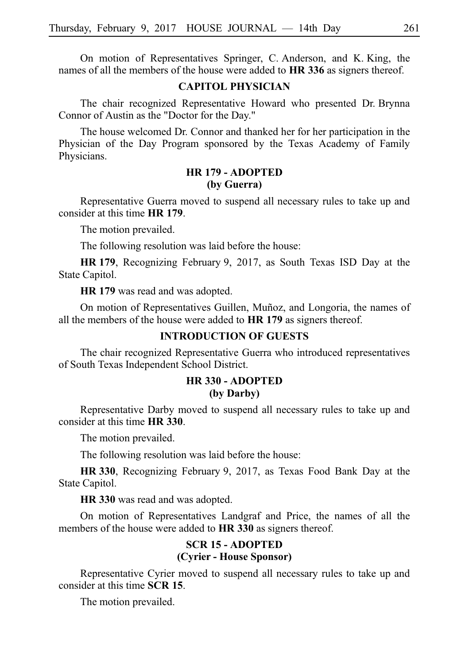On motion of Representatives Springer, C. Anderson, and K. King, the names of all the members of the house were added to HR 336 as signers thereof.

## **CAPITOL PHYSICIAN**

The chair recognized Representative Howard who presented Dr. Brynna Connor of Austin as the "Doctor for the Day."

The house welcomed Dr. Connor and thanked her for her participation in the Physician of the Day Program sponsored by the Texas Academy of Family Physicians.

# **HRi179 - ADOPTED (by Guerra)**

Representative Guerra moved to suspend all necessary rules to take up and consider at this time **HR 179**.

The motion prevailed.

The following resolution was laid before the house:

**HR 179**, Recognizing February 9, 2017, as South Texas ISD Day at the State Capitol.

**HR 179** was read and was adopted.

On motion of Representatives Guillen, Muñoz, and Longoria, the names of all the members of the house were added to **HR 179** as signers thereof.

# **INTRODUCTION OF GUESTS**

The chair recognized Representative Guerra who introduced representatives of South Texas Independent School District.

# **HRi330 - ADOPTED (by Darby)**

Representative Darby moved to suspend all necessary rules to take up and consider at this time **HR** 330.

The motion prevailed.

The following resolution was laid before the house:

**HR** 330, Recognizing February 9, 2017, as Texas Food Bank Day at the State Capitol.

**HR** 330 was read and was adopted.

On motion of Representatives Landgraf and Price, the names of all the members of the house were added to HR 330 as signers thereof.

#### **SCRi15 - ADOPTED (Cyrier - House Sponsor)**

Representative Cyrier moved to suspend all necessary rules to take up and consider at this time **SCR 15**.

The motion prevailed.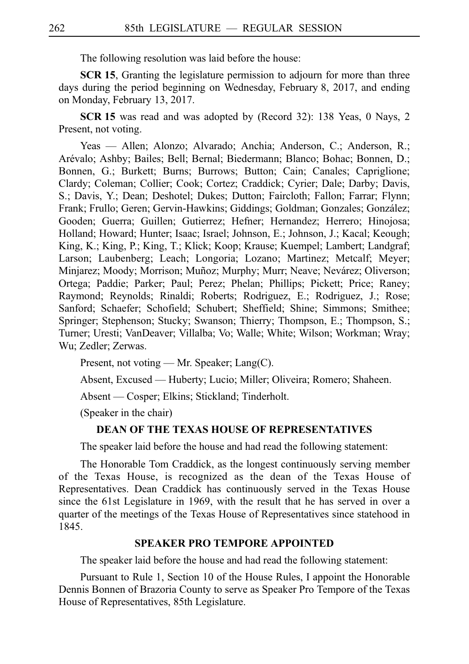The following resolution was laid before the house:

**SCR 15.** Granting the legislature permission to adjourn for more than three days during the period beginning on Wednesday, February 8, 2017, and ending on Monday, February 13, 2017.

**SCR 15** was read and was adopted by (Record 32): 138 Yeas, 0 Nays, 2 Present, not voting.

Yeas — Allen; Alonzo; Alvarado; Anchia; Anderson, C.; Anderson, R.; Are´valo; Ashby; Bailes; Bell; Bernal; Biedermann; Blanco; Bohac; Bonnen, D.; Bonnen, G.; Burkett; Burns; Burrows; Button; Cain; Canales; Capriglione; Clardy; Coleman; Collier; Cook; Cortez; Craddick; Cyrier; Dale; Darby; Davis, S.; Davis, Y.; Dean; Deshotel; Dukes; Dutton; Faircloth; Fallon; Farrar; Flynn; Frank; Frullo; Geren; Gervin-Hawkins; Giddings; Goldman; Gonzales; González; Gooden; Guerra; Guillen; Gutierrez; Hefner; Hernandez; Herrero; Hinojosa; Holland; Howard; Hunter; Isaac; Israel; Johnson, E.; Johnson, J.; Kacal; Keough; King, K.; King, P.; King, T.; Klick; Koop; Krause; Kuempel; Lambert; Landgraf; Larson; Laubenberg; Leach; Longoria; Lozano; Martinez; Metcalf; Meyer; Minjarez; Moody; Morrison; Muñoz; Murphy; Murr; Neave; Nevárez; Oliverson; Ortega; Paddie; Parker; Paul; Perez; Phelan; Phillips; Pickett; Price; Raney; Raymond; Reynolds; Rinaldi; Roberts; Rodriguez, E.; Rodriguez, J.; Rose; Sanford; Schaefer; Schofield; Schubert; Sheffield; Shine; Simmons; Smithee; Springer; Stephenson; Stucky; Swanson; Thierry; Thompson, E.; Thompson, S.; Turner; Uresti; VanDeaver; Villalba; Vo; Walle; White; Wilson; Workman; Wray; Wu; Zedler; Zerwas.

Present, not voting — Mr. Speaker; Lang(C).

Absent, Excused — Huberty; Lucio; Miller; Oliveira; Romero; Shaheen.

Absent — Cosper; Elkins; Stickland; Tinderholt.

(Speaker in the chair)

#### **DEAN OF THE TEXAS HOUSE OF REPRESENTATIVES**

The speaker laid before the house and had read the following statement:

The Honorable Tom Craddick, as the longest continuously serving member of the Texas House, is recognized as the dean of the Texas House of Representatives. Dean Craddick has continuously served in the Texas House since the 61st Legislature in 1969, with the result that he has served in over a quarter of the meetings of the Texas House of Representatives since statehood in 1845.

#### **SPEAKER PRO TEMPORE APPOINTED**

The speaker laid before the house and had read the following statement:

Pursuant to Rule 1, Section 10 of the House Rules, I appoint the Honorable Dennis Bonnen of Brazoria County to serve as Speaker Pro Tempore of the Texas House of Representatives, 85th Legislature.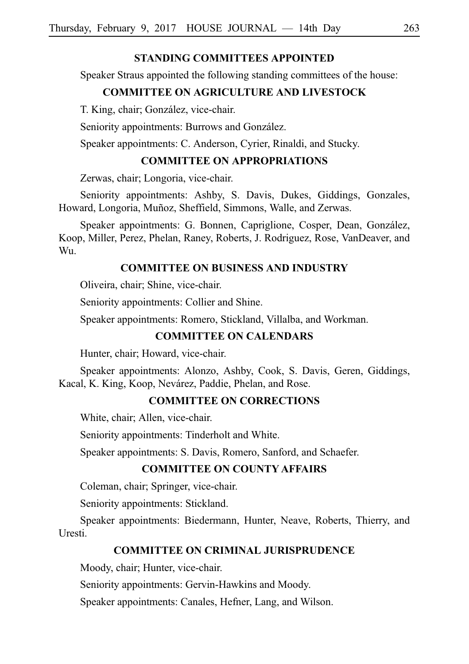## **STANDING COMMITTEES APPOINTED**

Speaker Straus appointed the following standing committees of the house:

## **COMMITTEE ON AGRICULTURE AND LIVESTOCK**

T. King, chair; González, vice-chair.

Seniority appointments: Burrows and González.

Speaker appointments: C. Anderson, Cyrier, Rinaldi, and Stucky.

# **COMMITTEE ON APPROPRIATIONS**

Zerwas, chair; Longoria, vice-chair.

Seniority appointments: Ashby, S. Davis, Dukes, Giddings, Gonzales, Howard, Longoria, Muñoz, Sheffield, Simmons, Walle, and Zerwas.

Speaker appointments: G. Bonnen, Capriglione, Cosper, Dean, González, Koop, Miller, Perez, Phelan, Raney, Roberts, J. Rodriguez, Rose, VanDeaver, and Wu.

## **COMMITTEE ON BUSINESS AND INDUSTRY**

Oliveira, chair; Shine, vice-chair.

Seniority appointments: Collier and Shine.

Speaker appointments: Romero, Stickland, Villalba, and Workman.

#### **COMMITTEE ON CALENDARS**

Hunter, chair; Howard, vice-chair.

Speaker appointments: Alonzo, Ashby, Cook, S. Davis, Geren, Giddings, Kacal, K. King, Koop, Nevárez, Paddie, Phelan, and Rose.

# **COMMITTEE ON CORRECTIONS**

White, chair; Allen, vice-chair.

Seniority appointments: Tinderholt and White.

Speaker appointments: S. Davis, Romero, Sanford, and Schaefer.

# **COMMITTEE ON COUNTY AFFAIRS**

Coleman, chair; Springer, vice-chair.

Seniority appointments: Stickland.

Speaker appointments: Biedermann, Hunter, Neave, Roberts, Thierry, and Uresti.

#### **COMMITTEE ON CRIMINAL JURISPRUDENCE**

Moody, chair; Hunter, vice-chair.

Seniority appointments: Gervin-Hawkins and Moody.

Speaker appointments: Canales, Hefner, Lang, and Wilson.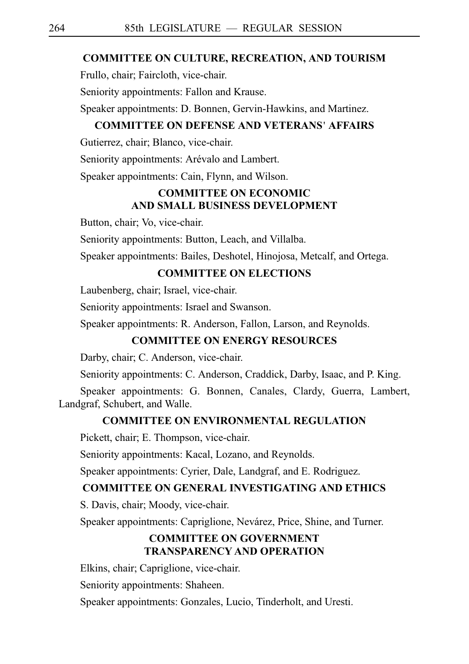## **COMMITTEE ON CULTURE, RECREATION, AND TOURISM**

Frullo, chair; Faircloth, vice-chair.

Seniority appointments: Fallon and Krause.

Speaker appointments: D. Bonnen, Gervin-Hawkins, and Martinez.

# **COMMITTEE ON DEFENSE AND VETERANS** '**AFFAIRS**

Gutierrez, chair; Blanco, vice-chair.

Seniority appointments: Arévalo and Lambert.

Speaker appointments: Cain, Flynn, and Wilson.

# **COMMITTEE ON ECONOMIC AND SMALL BUSINESS DEVELOPMENT**

Button, chair; Vo, vice-chair.

Seniority appointments: Button, Leach, and Villalba.

Speaker appointments: Bailes, Deshotel, Hinojosa, Metcalf, and Ortega.

# **COMMITTEE ON ELECTIONS**

Laubenberg, chair; Israel, vice-chair.

Seniority appointments: Israel and Swanson.

Speaker appointments: R. Anderson, Fallon, Larson, and Reynolds.

# **COMMITTEE ON ENERGY RESOURCES**

Darby, chair; C. Anderson, vice-chair.

Seniority appointments: C. Anderson, Craddick, Darby, Isaac, and P. King.

Speaker appointments: G. Bonnen, Canales, Clardy, Guerra, Lambert, Landgraf, Schubert, and Walle.

#### **COMMITTEE ON ENVIRONMENTAL REGULATION**

Pickett, chair; E. Thompson, vice-chair.

Seniority appointments: Kacal, Lozano, and Reynolds.

Speaker appointments: Cyrier, Dale, Landgraf, and E. Rodriguez.

# **COMMITTEE ON GENERAL INVESTIGATING AND ETHICS**

S. Davis, chair; Moody, vice-chair.

Speaker appointments: Capriglione, Nevárez, Price, Shine, and Turner.

# **COMMITTEE ON GOVERNMENT TRANSPARENCY AND OPERATION**

Elkins, chair; Capriglione, vice-chair.

Seniority appointments: Shaheen.

Speaker appointments: Gonzales, Lucio, Tinderholt, and Uresti.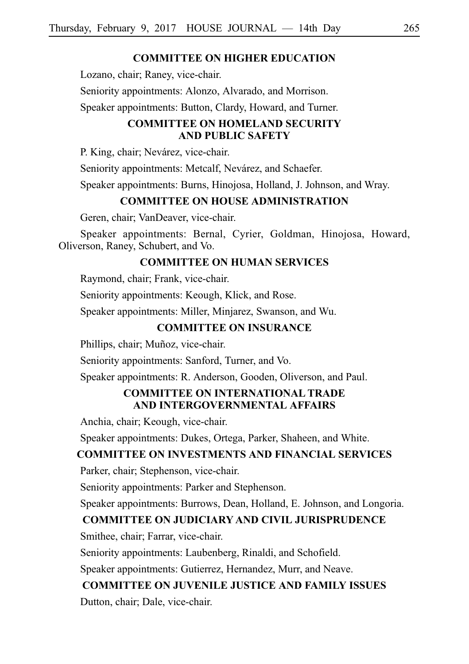## **COMMITTEE ON HIGHER EDUCATION**

Lozano, chair; Raney, vice-chair.

Seniority appointments: Alonzo, Alvarado, and Morrison.

Speaker appointments: Button, Clardy, Howard, and Turner.

# **COMMITTEE ON HOMELAND SECURITY AND PUBLIC SAFETY**

P. King, chair; Nevárez, vice-chair.

Seniority appointments: Metcalf, Nevárez, and Schaefer.

Speaker appointments: Burns, Hinojosa, Holland, J. Johnson, and Wray.

# **COMMITTEE ON HOUSE ADMINISTRATION**

Geren, chair; VanDeaver, vice-chair.

Speaker appointments: Bernal, Cyrier, Goldman, Hinojosa, Howard, Oliverson, Raney, Schubert, and Vo.

# **COMMITTEE ON HUMAN SERVICES**

Raymond, chair; Frank, vice-chair.

Seniority appointments: Keough, Klick, and Rose.

Speaker appointments: Miller, Minjarez, Swanson, and Wu.

# **COMMITTEE ON INSURANCE**

Phillips, chair; Muñoz, vice-chair.

Seniority appointments: Sanford, Turner, and Vo.

Speaker appointments: R. Anderson, Gooden, Oliverson, and Paul.

# **COMMITTEE ON INTERNATIONAL TRADE AND INTERGOVERNMENTAL AFFAIRS**

Anchia, chair; Keough, vice-chair.

Speaker appointments: Dukes, Ortega, Parker, Shaheen, and White.

# **COMMITTEE ON INVESTMENTS AND FINANCIAL SERVICES**

Parker, chair; Stephenson, vice-chair.

Seniority appointments: Parker and Stephenson.

Speaker appointments: Burrows, Dean, Holland, E. Johnson, and Longoria.

#### **COMMITTEE ON JUDICIARY AND CIVIL JURISPRUDENCE**

Smithee, chair; Farrar, vice-chair.

Seniority appointments: Laubenberg, Rinaldi, and Schofield.

Speaker appointments: Gutierrez, Hernandez, Murr, and Neave.

#### **COMMITTEE ON JUVENILE JUSTICE AND FAMILY ISSUES**

Dutton, chair; Dale, vice-chair.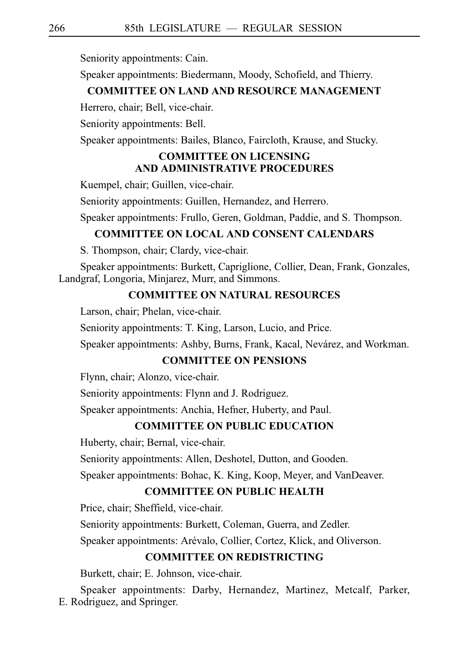Seniority appointments: Cain.

Speaker appointments: Biedermann, Moody, Schofield, and Thierry.

#### **COMMITTEE ON LAND AND RESOURCE MANAGEMENT**

Herrero, chair; Bell, vice-chair.

Seniority appointments: Bell.

Speaker appointments: Bailes, Blanco, Faircloth, Krause, and Stucky.

# **COMMITTEE ON LICENSING AND ADMINISTRATIVE PROCEDURES**

Kuempel, chair; Guillen, vice-chair.

Seniority appointments: Guillen, Hernandez, and Herrero.

Speaker appointments: Frullo, Geren, Goldman, Paddie, and S. Thompson.

# **COMMITTEE ON LOCAL AND CONSENT CALENDARS**

S. Thompson, chair; Clardy, vice-chair.

Speaker appointments: Burkett, Capriglione, Collier, Dean, Frank, Gonzales, Landgraf, Longoria, Minjarez, Murr, and Simmons.

#### **COMMITTEE ON NATURAL RESOURCES**

Larson, chair; Phelan, vice-chair.

Seniority appointments: T. King, Larson, Lucio, and Price.

Speaker appointments: Ashby, Burns, Frank, Kacal, Nevárez, and Workman.

## **COMMITTEE ON PENSIONS**

Flynn, chair; Alonzo, vice-chair.

Seniority appointments: Flynn and J. Rodriguez.

Speaker appointments: Anchia, Hefner, Huberty, and Paul.

#### **COMMITTEE ON PUBLIC EDUCATION**

Huberty, chair; Bernal, vice-chair.

Seniority appointments: Allen, Deshotel, Dutton, and Gooden.

Speaker appointments: Bohac, K. King, Koop, Meyer, and VanDeaver.

# **COMMITTEE ON PUBLIC HEALTH**

Price, chair; Sheffield, vice-chair.

Seniority appointments: Burkett, Coleman, Guerra, and Zedler.

Speaker appointments: Arévalo, Collier, Cortez, Klick, and Oliverson.

# **COMMITTEE ON REDISTRICTING**

Burkett, chair; E. Johnson, vice-chair.

Speaker appointments: Darby, Hernandez, Martinez, Metcalf, Parker, E. Rodriguez, and Springer.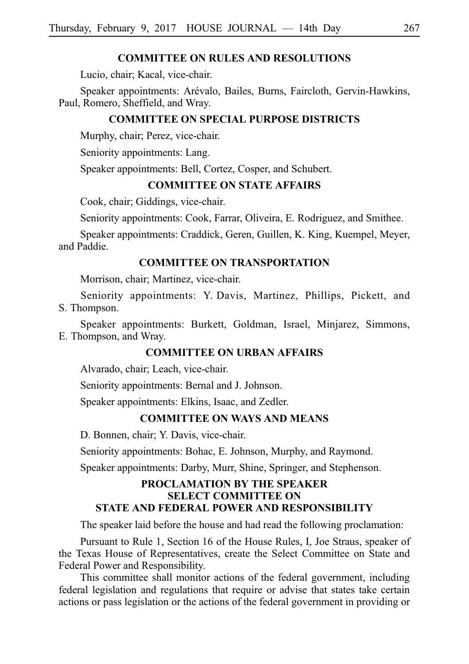#### **COMMITTEE ON RULES AND RESOLUTIONS**

Lucio, chair; Kacal, vice-chair.

Speaker appointments: Arévalo, Bailes, Burns, Faircloth, Gervin-Hawkins, Paul, Romero, Sheffield, and Wray.

### **COMMITTEE ON SPECIAL PURPOSE DISTRICTS**

Murphy, chair; Perez, vice-chair.

Seniority appointments: Lang.

Speaker appointments: Bell, Cortez, Cosper, and Schubert.

#### **COMMITTEE ON STATE AFFAIRS**

Cook, chair; Giddings, vice-chair.

Seniority appointments: Cook, Farrar, Oliveira, E. Rodriguez, and Smithee.

Speaker appointments: Craddick, Geren, Guillen, K. King, Kuempel, Meyer, and Paddie.

# **COMMITTEE ON TRANSPORTATION**

Morrison, chair; Martinez, vice-chair.

Seniority appointments: Y. Davis, Martinez, Phillips, Pickett, and S. Thompson.

Speaker appointments: Burkett, Goldman, Israel, Minjarez, Simmons, E. Thompson, and Wray.

#### **COMMITTEE ON URBAN AFFAIRS**

Alvarado, chair; Leach, vice-chair.

Seniority appointments: Bernal and J. Johnson.

Speaker appointments: Elkins, Isaac, and Zedler.

# **COMMITTEE ON WAYS AND MEANS**

D. Bonnen, chair; Y. Davis, vice-chair.

Seniority appointments: Bohac, E. Johnson, Murphy, and Raymond.

Speaker appointments: Darby, Murr, Shine, Springer, and Stephenson.

# **PROCLAMATION BY THE SPEAKER SELECT COMMITTEE ON STATE AND FEDERAL POWER AND RESPONSIBILITY**

The speaker laid before the house and had read the following proclamation:

Pursuant to Rule 1, Section 16 of the House Rules, I, Joe Straus, speaker of the Texas House of Representatives, create the Select Committee on State and Federal Power and Responsibility.

This committee shall monitor actions of the federal government, including federal legislation and regulations that require or advise that states take certain actions or pass legislation or the actions of the federal government in providing or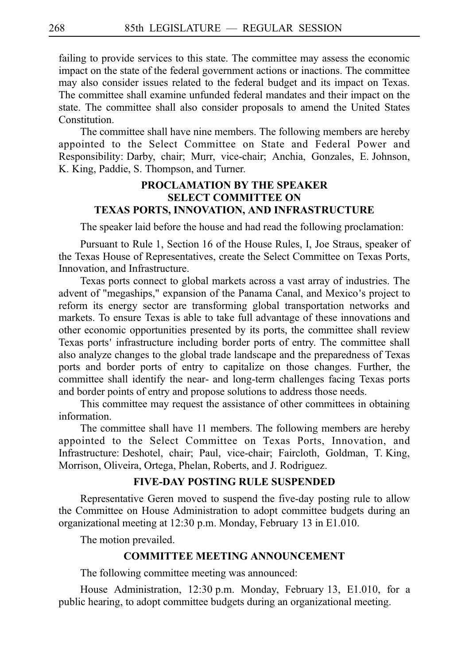failing to provide services to this state. The committee may assess the economic impact on the state of the federal government actions or inactions. The committee may also consider issues related to the federal budget and its impact on Texas. The committee shall examine unfunded federal mandates and their impact on the state. The committee shall also consider proposals to amend the United States **Constitution** 

The committee shall have nine members. The following members are hereby appointed to the Select Committee on State and Federal Power and Responsibility: Darby, chair; Murr, vice-chair; Anchia, Gonzales, E. Johnson, K. King, Paddie, S. Thompson, and Turner.

# **PROCLAMATION BY THE SPEAKER SELECT COMMITTEE ON TEXAS PORTS, INNOVATION, AND INFRASTRUCTURE**

The speaker laid before the house and had read the following proclamation:

Pursuant to Rule 1, Section 16 of the House Rules, I, Joe Straus, speaker of the Texas House of Representatives, create the Select Committee on Texas Ports, Innovation, and Infrastructure.

Texas ports connect to global markets across a vast array of industries. The advent of "megaships," expansion of the Panama Canal, and Mexico's project to reform its energy sector are transforming global transportation networks and markets. To ensure Texas is able to take full advantage of these innovations and other economic opportunities presented by its ports, the committee shall review Texas ports' infrastructure including border ports of entry. The committee shall also analyze changes to the global trade landscape and the preparedness of Texas ports and border ports of entry to capitalize on those changes. Further, the committee shall identify the near- and long-term challenges facing Texas ports and border points of entry and propose solutions to address those needs.

This committee may request the assistance of other committees in obtaining information.

The committee shall have 11 members. The following members are hereby appointed to the Select Committee on Texas Ports, Innovation, and Infrastructure: Deshotel, chair; Paul, vice-chair; Faircloth, Goldman, T. King, Morrison, Oliveira, Ortega, Phelan, Roberts, and J. Rodriguez.

#### **FIVE-DAY POSTING RULE SUSPENDED**

Representative Geren moved to suspend the five-day posting rule to allow the Committee on House Administration to adopt committee budgets during an organizational meeting at 12:30 p.m. Monday, February 13 in E1.010.

The motion prevailed.

## **COMMITTEE MEETING ANNOUNCEMENT**

The following committee meeting was announced:

House Administration, 12:30 p.m. Monday, February 13, E1.010, for a public hearing, to adopt committee budgets during an organizational meeting.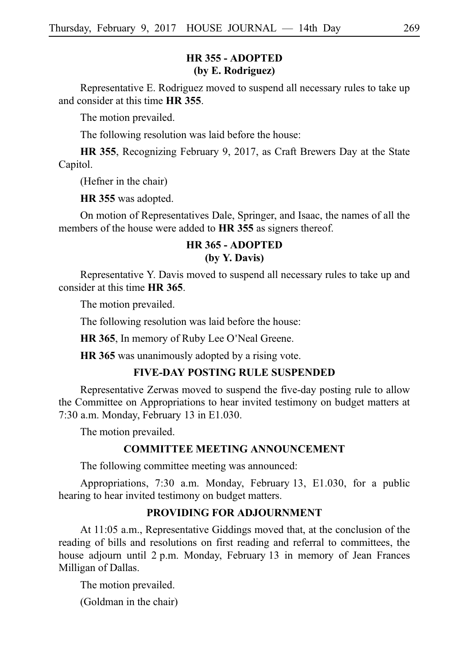# **HR 355 - ADOPTED (by E. Rodriguez)**

Representative E. Rodriguez moved to suspend all necessary rules to take up and consider at this time **HR** 355.

The motion prevailed.

The following resolution was laid before the house:

**HR 355**, Recognizing February 9, 2017, as Craft Brewers Day at the State Capitol.

(Hefner in the chair)

**HR 355** was adopted.

On motion of Representatives Dale, Springer, and Isaac, the names of all the members of the house were added to **HR** 355 as signers thereof.

# **HR 365 - ADOPTED (by Y. Davis)**

Representative Y. Davis moved to suspend all necessary rules to take up and consider at this time **HR** 365.

The motion prevailed.

The following resolution was laid before the house:

**HR 365**, In memory of Ruby Lee O'Neal Greene.

**HR 365** was unanimously adopted by a rising vote.

# **FIVE-DAY POSTING RULE SUSPENDED**

Representative Zerwas moved to suspend the five-day posting rule to allow the Committee on Appropriations to hear invited testimony on budget matters at 7:30 a.m. Monday, February  $13$  in E1.030.

The motion prevailed.

#### **COMMITTEE MEETING ANNOUNCEMENT**

The following committee meeting was announced:

Appropriations, 7:30 a.m. Monday, February 13, E1.030, for a public hearing to hear invited testimony on budget matters.

# **PROVIDING FOR ADJOURNMENT**

At 11:05 a.m., Representative Giddings moved that, at the conclusion of the reading of bills and resolutions on first reading and referral to committees, the house adjourn until  $2$  p.m. Monday, February 13 in memory of Jean Frances Milligan of Dallas.

The motion prevailed.

(Goldman in the chair)